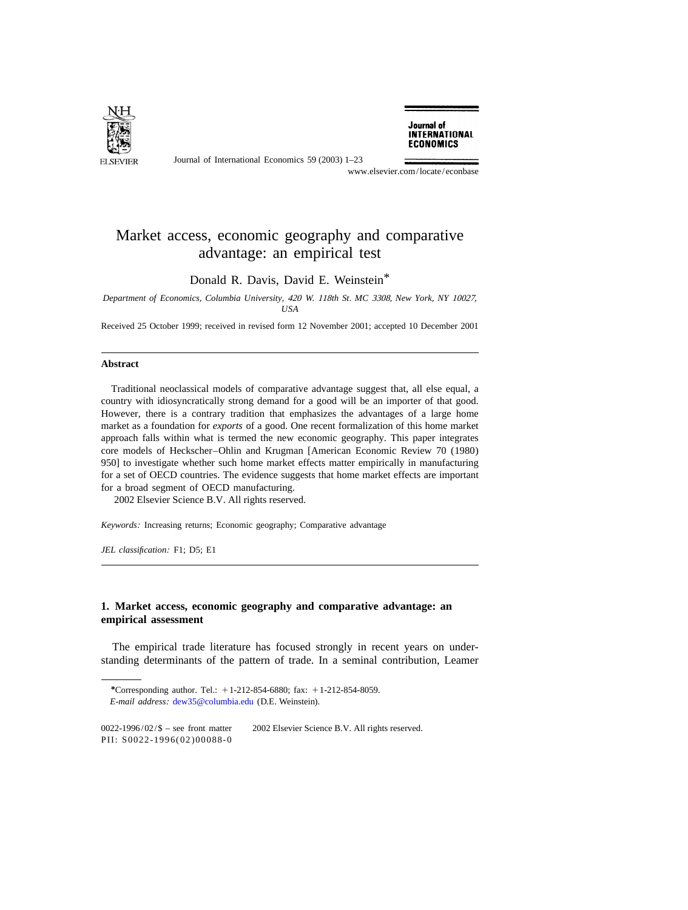

Journal of International Economics 59 (2003) 1–23

Journal of **INTERNATIONAL ECONOMICS** 

www.elsevier.com/locate/econbase

## Market access, economic geography and comparative advantage: an empirical test

Donald R. Davis, David E. Weinstein\*

*Department of Economics*, *Columbia University*, <sup>420</sup> *W*. <sup>118</sup>*th St*. *MC* 3308, *New York*, *NY* 10027, *USA*

Received 25 October 1999; received in revised form 12 November 2001; accepted 10 December 2001

## **Abstract**

Traditional neoclassical models of comparative advantage suggest that, all else equal, a country with idiosyncratically strong demand for a good will be an importer of that good. However, there is a contrary tradition that emphasizes the advantages of a large home market as a foundation for *exports* of a good. One recent formalization of this home market approach falls within what is termed the new economic geography. This paper integrates core models of Heckscher–Ohlin and Krugman [American Economic Review 70 (1980) 950] to investigate whether such home market effects matter empirically in manufacturing for a set of OECD countries. The evidence suggests that home market effects are important for a broad segment of OECD manufacturing.

2002 Elsevier Science B.V. All rights reserved.

*Keywords*: Increasing returns; Economic geography; Comparative advantage

*JEL classification*: F1; D5; E1

## **1. Market access, economic geography and comparative advantage: an empirical assessment**

The empirical trade literature has focused strongly in recent years on understanding determinants of the pattern of trade. In a seminal contribution, Leamer

*<sup>\*</sup>*Corresponding author. Tel.: 11-212-854-6880; fax: 11-212-854-8059. *E*-*mail address*: [dew35@columbia.edu](mailto:dew35@columbia.edu) (D.E. Weinstein).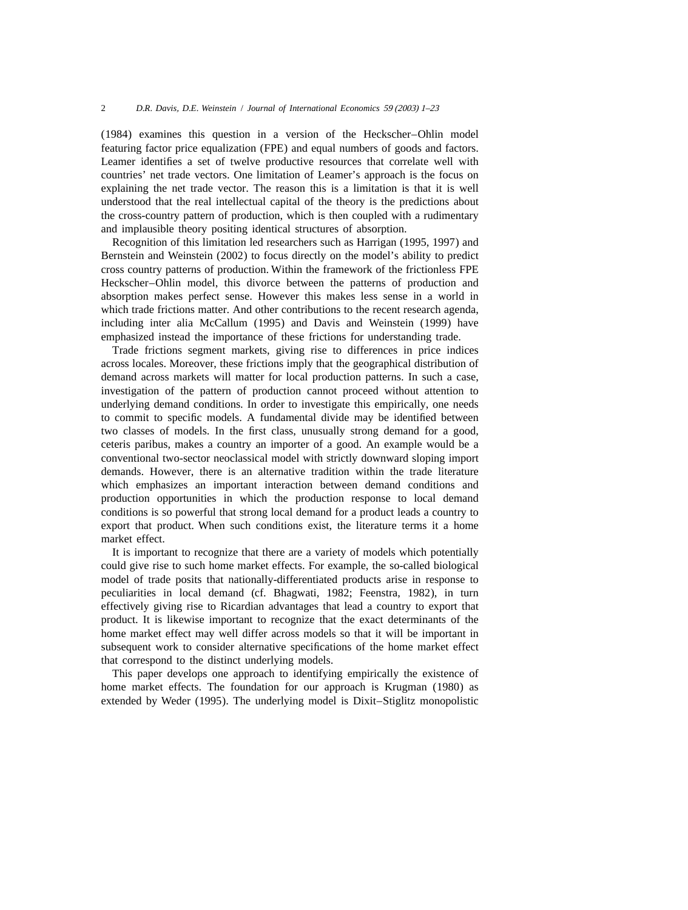(1984) examines this question in a version of the Heckscher–Ohlin model featuring factor price equalization (FPE) and equal numbers of goods and factors. Leamer identifies a set of twelve productive resources that correlate well with countries' net trade vectors. One limitation of Leamer's approach is the focus on explaining the net trade vector. The reason this is a limitation is that it is well understood that the real intellectual capital of the theory is the predictions about the cross-country pattern of production, which is then coupled with a rudimentary and implausible theory positing identical structures of absorption.

Recognition of this limitation led researchers such as Harrigan (1995, 1997) and Bernstein and Weinstein (2002) to focus directly on the model's ability to predict cross country patterns of production. Within the framework of the frictionless FPE Heckscher–Ohlin model, this divorce between the patterns of production and absorption makes perfect sense. However this makes less sense in a world in which trade frictions matter. And other contributions to the recent research agenda, including inter alia McCallum (1995) and Davis and Weinstein (1999) have emphasized instead the importance of these frictions for understanding trade.

Trade frictions segment markets, giving rise to differences in price indices across locales. Moreover, these frictions imply that the geographical distribution of demand across markets will matter for local production patterns. In such a case, investigation of the pattern of production cannot proceed without attention to underlying demand conditions. In order to investigate this empirically, one needs to commit to specific models. A fundamental divide may be identified between two classes of models. In the first class, unusually strong demand for a good, ceteris paribus, makes a country an importer of a good. An example would be a conventional two-sector neoclassical model with strictly downward sloping import demands. However, there is an alternative tradition within the trade literature which emphasizes an important interaction between demand conditions and production opportunities in which the production response to local demand conditions is so powerful that strong local demand for a product leads a country to export that product. When such conditions exist, the literature terms it a home market effect.

It is important to recognize that there are a variety of models which potentially could give rise to such home market effects. For example, the so-called biological model of trade posits that nationally-differentiated products arise in response to peculiarities in local demand (cf. Bhagwati, 1982; Feenstra, 1982), in turn effectively giving rise to Ricardian advantages that lead a country to export that product. It is likewise important to recognize that the exact determinants of the home market effect may well differ across models so that it will be important in subsequent work to consider alternative specifications of the home market effect that correspond to the distinct underlying models.

This paper develops one approach to identifying empirically the existence of home market effects. The foundation for our approach is Krugman (1980) as extended by Weder (1995). The underlying model is Dixit–Stiglitz monopolistic